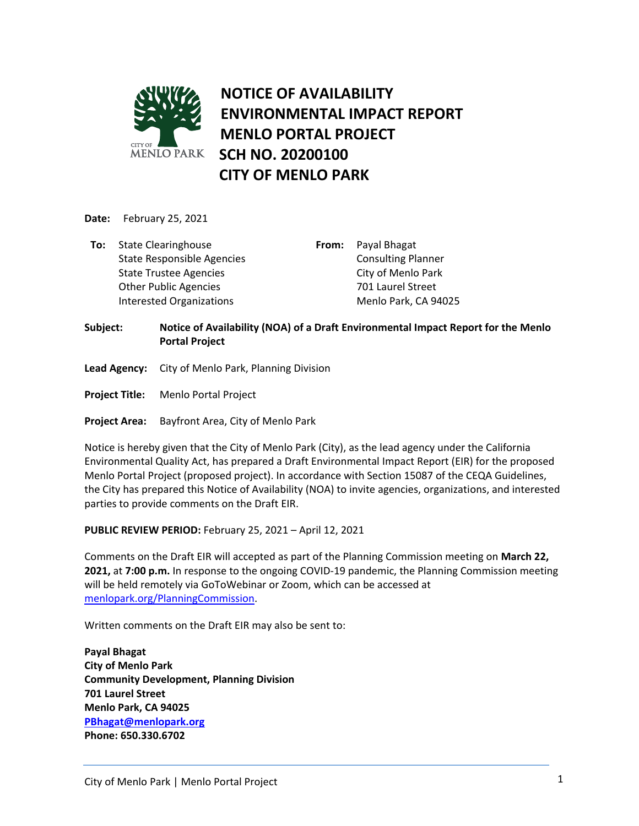

**Date:** February 25, 2021

**To:** State Clearinghouse State Responsible Agencies State Trustee Agencies Other Public Agencies Interested Organizations

**From:** Payal Bhagat Consulting Planner City of Menlo Park 701 Laurel Street Menlo Park, CA 94025

## **Subject: Notice of Availability (NOA) of a Draft Environmental Impact Report for the Menlo Portal Project**

- **Lead Agency:** City of Menlo Park, Planning Division
- **Project Title:** Menlo Portal Project
- **Project Area:** Bayfront Area, City of Menlo Park

Notice is hereby given that the City of Menlo Park (City), as the lead agency under the California Environmental Quality Act, has prepared a Draft Environmental Impact Report (EIR) for the proposed Menlo Portal Project (proposed project). In accordance with Section 15087 of the CEQA Guidelines, the City has prepared this Notice of Availability (NOA) to invite agencies, organizations, and interested parties to provide comments on the Draft EIR.

**PUBLIC REVIEW PERIOD:** February 25, 2021 – April 12, 2021

Comments on the Draft EIR will accepted as part of the Planning Commission meeting on **March 22, 2021,** at **7:00 p.m.** In response to the ongoing COVID-19 pandemic, the Planning Commission meeting will be held remotely via GoToWebinar or Zoom, which can be accessed at [menlopark.org/PlanningCommission.](https://www.menlopark.org/planningcommission)

Written comments on the Draft EIR may also be sent to:

**Payal Bhagat City of Menlo Park Community Development, Planning Division 701 Laurel Street Menlo Park, CA 94025 [PBhagat@menlopark.org](mailto:PBhagat@menlopark.org) Phone: 650.330.6702**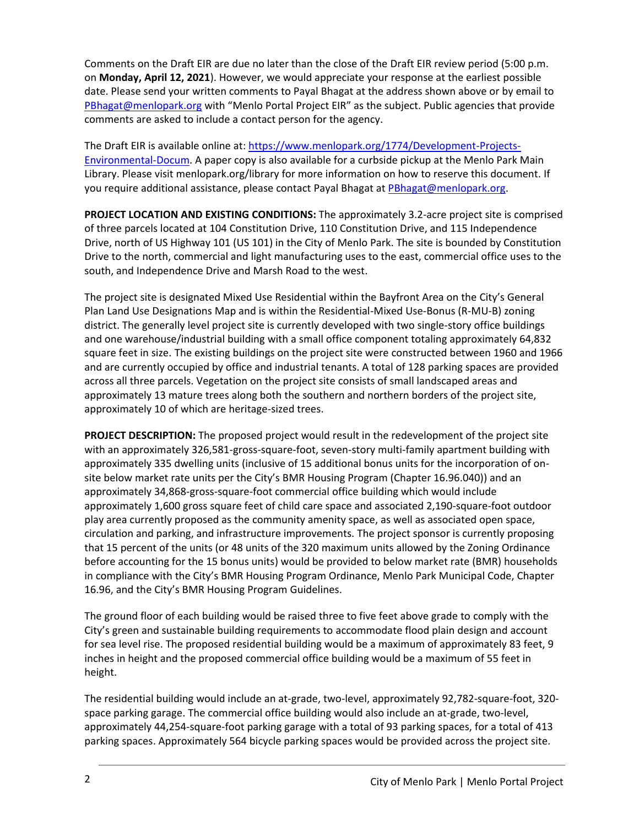Comments on the Draft EIR are due no later than the close of the Draft EIR review period (5:00 p.m. on **Monday, April 12, 2021**). However, we would appreciate your response at the earliest possible date. Please send your written comments to Payal Bhagat at the address shown above or by email to [PBhagat@menlopark.org](mailto:PBhagat@menlopark.org) with "Menlo Portal Project EIR" as the subject. Public agencies that provide comments are asked to include a contact person for the agency.

The Draft EIR is available online at: [https://www.menlopark.org/1774/Development-Projects-](https://www.menlopark.org/1774/Development-Projects-Environmental-Docum)[Environmental-Docum.](https://www.menlopark.org/1774/Development-Projects-Environmental-Docum) A paper copy is also available for a curbside pickup at the Menlo Park Main Library. Please visit menlopark.org/library for more information on how to reserve this document. If you require additional assistance, please contact Payal Bhagat at [PBhagat@menlopark.org.](mailto:PBhagat@menlopark.org)

**PROJECT LOCATION AND EXISTING CONDITIONS:** The approximately 3.2-acre project site is comprised of three parcels located at 104 Constitution Drive, 110 Constitution Drive, and 115 Independence Drive, north of US Highway 101 (US 101) in the City of Menlo Park. The site is bounded by Constitution Drive to the north, commercial and light manufacturing uses to the east, commercial office uses to the south, and Independence Drive and Marsh Road to the west.

The project site is designated Mixed Use Residential within the Bayfront Area on the City's General Plan Land Use Designations Map and is within the Residential-Mixed Use-Bonus (R-MU-B) zoning district. The generally level project site is currently developed with two single-story office buildings and one warehouse/industrial building with a small office component totaling approximately 64,832 square feet in size. The existing buildings on the project site were constructed between 1960 and 1966 and are currently occupied by office and industrial tenants. A total of 128 parking spaces are provided across all three parcels. Vegetation on the project site consists of small landscaped areas and approximately 13 mature trees along both the southern and northern borders of the project site, approximately 10 of which are heritage-sized trees.

**PROJECT DESCRIPTION:** The proposed project would result in the redevelopment of the project site with an approximately 326,581-gross-square-foot, seven-story multi-family apartment building with approximately 335 dwelling units (inclusive of 15 additional bonus units for the incorporation of onsite below market rate units per the City's BMR Housing Program (Chapter 16.96.040)) and an approximately 34,868-gross-square-foot commercial office building which would include approximately 1,600 gross square feet of child care space and associated 2,190-square-foot outdoor play area currently proposed as the community amenity space, as well as associated open space, circulation and parking, and infrastructure improvements. The project sponsor is currently proposing that 15 percent of the units (or 48 units of the 320 maximum units allowed by the Zoning Ordinance before accounting for the 15 bonus units) would be provided to below market rate (BMR) households in compliance with the City's BMR Housing Program Ordinance, Menlo Park Municipal Code, Chapter 16.96, and the City's BMR Housing Program Guidelines.

The ground floor of each building would be raised three to five feet above grade to comply with the City's green and sustainable building requirements to accommodate flood plain design and account for sea level rise. The proposed residential building would be a maximum of approximately 83 feet, 9 inches in height and the proposed commercial office building would be a maximum of 55 feet in height.

The residential building would include an at-grade, two-level, approximately 92,782-square-foot, 320 space parking garage. The commercial office building would also include an at-grade, two-level, approximately 44,254-square-foot parking garage with a total of 93 parking spaces, for a total of 413 parking spaces. Approximately 564 bicycle parking spaces would be provided across the project site.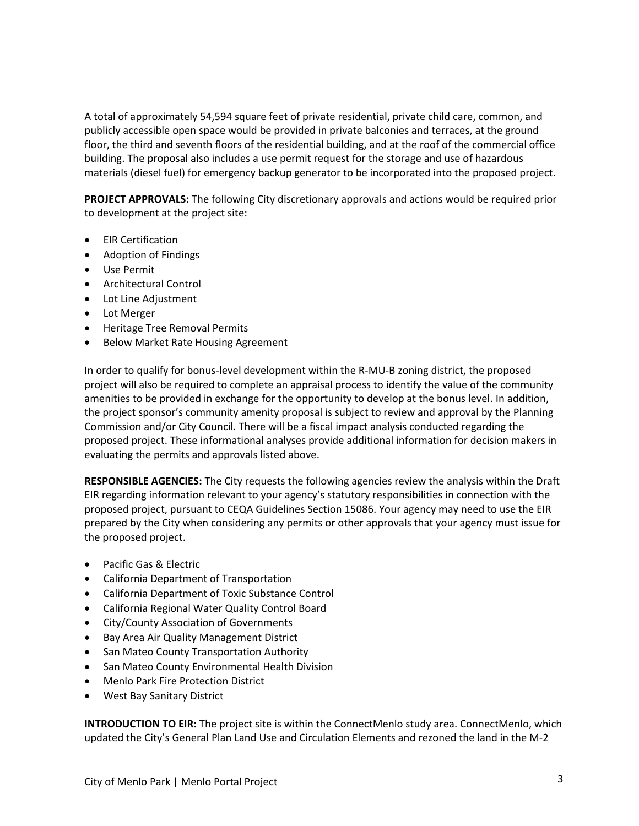A total of approximately 54,594 square feet of private residential, private child care, common, and publicly accessible open space would be provided in private balconies and terraces, at the ground floor, the third and seventh floors of the residential building, and at the roof of the commercial office building. The proposal also includes a use permit request for the storage and use of hazardous materials (diesel fuel) for emergency backup generator to be incorporated into the proposed project.

**PROJECT APPROVALS:** The following City discretionary approvals and actions would be required prior to development at the project site:

- **•** EIR Certification
- Adoption of Findings
- Use Permit
- Architectural Control
- Lot Line Adjustment
- Lot Merger
- **•** Heritage Tree Removal Permits
- **•** Below Market Rate Housing Agreement

In order to qualify for bonus-level development within the R-MU-B zoning district, the proposed project will also be required to complete an appraisal process to identify the value of the community amenities to be provided in exchange for the opportunity to develop at the bonus level. In addition, the project sponsor's community amenity proposal is subject to review and approval by the Planning Commission and/or City Council. There will be a fiscal impact analysis conducted regarding the proposed project. These informational analyses provide additional information for decision makers in evaluating the permits and approvals listed above.

**RESPONSIBLE AGENCIES:** The City requests the following agencies review the analysis within the Draft EIR regarding information relevant to your agency's statutory responsibilities in connection with the proposed project, pursuant to CEQA Guidelines Section 15086. Your agency may need to use the EIR prepared by the City when considering any permits or other approvals that your agency must issue for the proposed project.

- Pacific Gas & Electric
- California Department of Transportation
- California Department of Toxic Substance Control
- California Regional Water Quality Control Board
- City/County Association of Governments
- Bay Area Air Quality Management District
- San Mateo County Transportation Authority
- San Mateo County Environmental Health Division
- Menlo Park Fire Protection District
- West Bay Sanitary District

**INTRODUCTION TO EIR:** The project site is within the ConnectMenlo study area. ConnectMenlo, which updated the City's General Plan Land Use and Circulation Elements and rezoned the land in the M-2